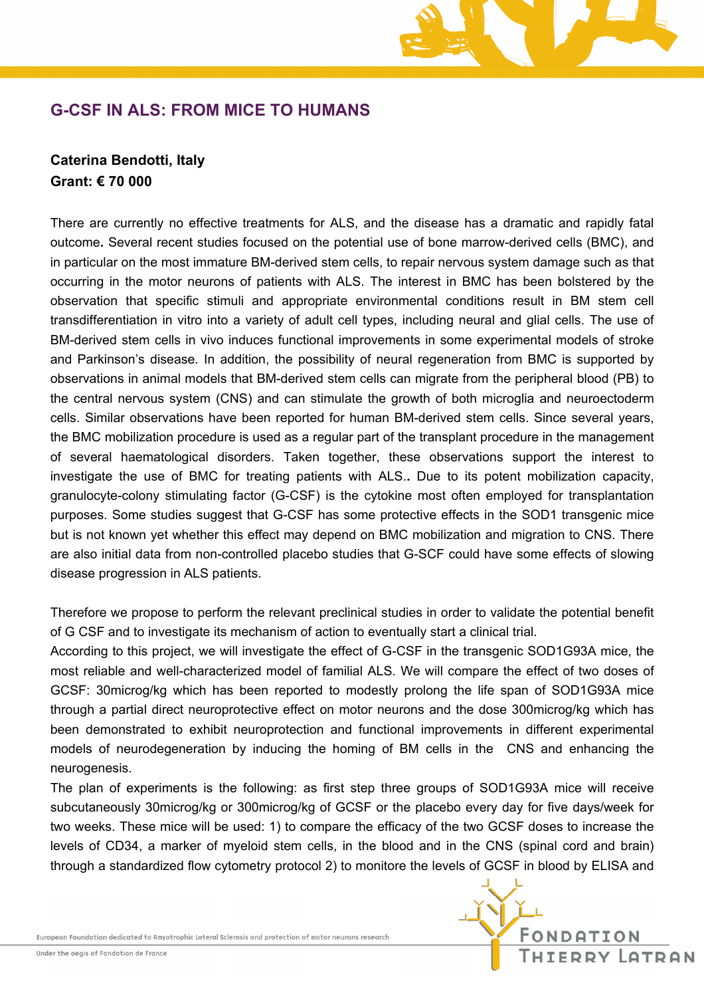# **G-CSF IN ALS: FROM MICE TO HUMANS**

## **Caterina Bendotti, Italy Grant: € 70 000**

There are currently no effective treatments for ALS, and the disease has a dramatic and rapidly fatal outcome**.** Several recent studies focused on the potential use of bone marrow-derived cells (BMC), and in particular on the most immature BM-derived stem cells, to repair nervous system damage such as that occurring in the motor neurons of patients with ALS. The interest in BMC has been bolstered by the observation that specific stimuli and appropriate environmental conditions result in BM stem cell transdifferentiation in vitro into a variety of adult cell types, including neural and glial cells. The use of BM-derived stem cells in vivo induces functional improvements in some experimental models of stroke and Parkinson's disease*.* In addition, the possibility of neural regeneration from BMC is supported by observations in animal models that BM-derived stem cells can migrate from the peripheral blood (PB) to the central nervous system (CNS) and can stimulate the growth of both microglia and neuroectoderm cells. Similar observations have been reported for human BM-derived stem cells. Since several years, the BMC mobilization procedure is used as a regular part of the transplant procedure in the management of several haematological disorders. Taken together, these observations support the interest to investigate the use of BMC for treating patients with ALS.**.** Due to its potent mobilization capacity, granulocyte-colony stimulating factor (G-CSF) is the cytokine most often employed for transplantation purposes. Some studies suggest that G-CSF has some protective effects in the SOD1 transgenic mice but is not known yet whether this effect may depend on BMC mobilization and migration to CNS. There are also initial data from non-controlled placebo studies that G-SCF could have some effects of slowing disease progression in ALS patients.

Therefore we propose to perform the relevant preclinical studies in order to validate the potential benefit of G CSF and to investigate its mechanism of action to eventually start a clinical trial.

According to this project, we will investigate the effect of G-CSF in the transgenic SOD1G93A mice, the most reliable and well-characterized model of familial ALS. We will compare the effect of two doses of GCSF: 30microg/kg which has been reported to modestly prolong the life span of SOD1G93A mice through a partial direct neuroprotective effect on motor neurons and the dose 300microg/kg which has been demonstrated to exhibit neuroprotection and functional improvements in different experimental models of neurodegeneration by inducing the homing of BM cells in the CNS and enhancing the neurogenesis.

The plan of experiments is the following: as first step three groups of SOD1G93A mice will receive subcutaneously 30microg/kg or 300microg/kg of GCSF or the placebo every day for five days/week for two weeks. These mice will be used: 1) to compare the efficacy of the two GCSF doses to increase the levels of CD34, a marker of myeloid stem cells, in the blood and in the CNS (spinal cord and brain) through a standardized flow cytometry protocol 2) to monitore the levels of GCSF in blood by ELISA and

European Foundation dedicated to Amyotrophic Lateral Sclerosis and protection of motor neurons research

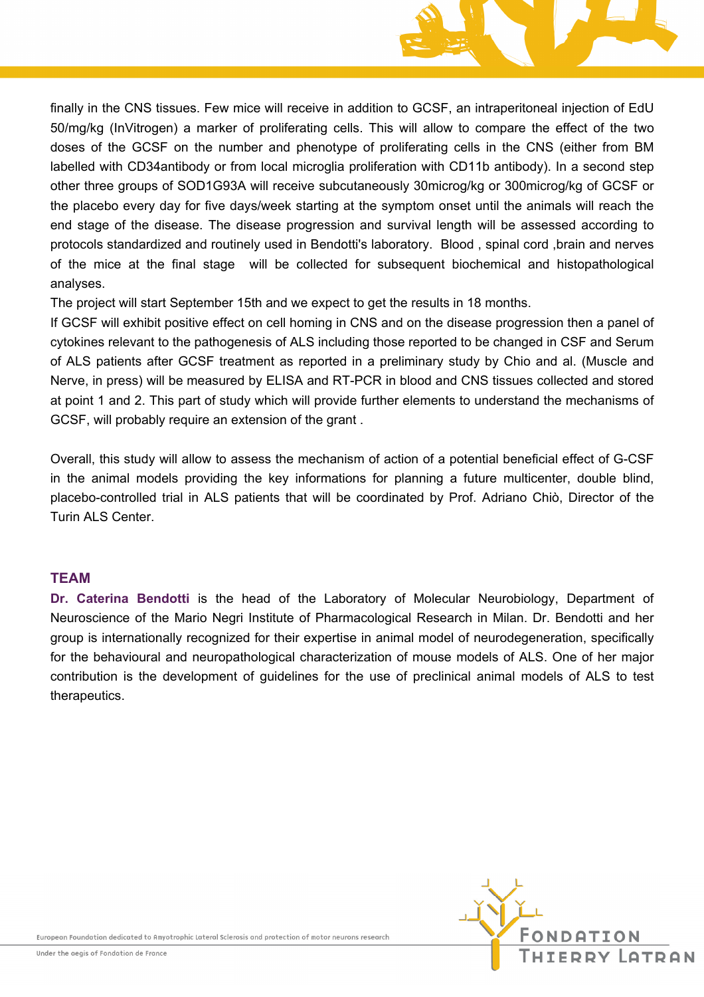

finally in the CNS tissues. Few mice will receive in addition to GCSF, an intraperitoneal injection of EdU 50/mg/kg (InVitrogen) a marker of proliferating cells. This will allow to compare the effect of the two doses of the GCSF on the number and phenotype of proliferating cells in the CNS (either from BM labelled with CD34antibody or from local microglia proliferation with CD11b antibody). In a second step other three groups of SOD1G93A will receive subcutaneously 30microg/kg or 300microg/kg of GCSF or the placebo every day for five days/week starting at the symptom onset until the animals will reach the end stage of the disease. The disease progression and survival length will be assessed according to protocols standardized and routinely used in Bendotti's laboratory. Blood , spinal cord ,brain and nerves of the mice at the final stage will be collected for subsequent biochemical and histopathological analyses.

The project will start September 15th and we expect to get the results in 18 months.

If GCSF will exhibit positive effect on cell homing in CNS and on the disease progression then a panel of cytokines relevant to the pathogenesis of ALS including those reported to be changed in CSF and Serum of ALS patients after GCSF treatment as reported in a preliminary study by Chio and al. (Muscle and Nerve, in press) will be measured by ELISA and RT-PCR in blood and CNS tissues collected and stored at point 1 and 2. This part of study which will provide further elements to understand the mechanisms of GCSF, will probably require an extension of the grant .

Overall, this study will allow to assess the mechanism of action of a potential beneficial effect of G-CSF in the animal models providing the key informations for planning a future multicenter, double blind, placebo-controlled trial in ALS patients that will be coordinated by Prof. Adriano Chiò, Director of the Turin ALS Center.

### **TEAM**

**Dr. Caterina Bendotti** is the head of the Laboratory of Molecular Neurobiology, Department of Neuroscience of the Mario Negri Institute of Pharmacological Research in Milan. Dr. Bendotti and her group is internationally recognized for their expertise in animal model of neurodegeneration, specifically for the behavioural and neuropathological characterization of mouse models of ALS. One of her major contribution is the development of guidelines for the use of preclinical animal models of ALS to test therapeutics.

European Foundation dedicated to Amyotrophic Lateral Sclerosis and protection of motor neurons research